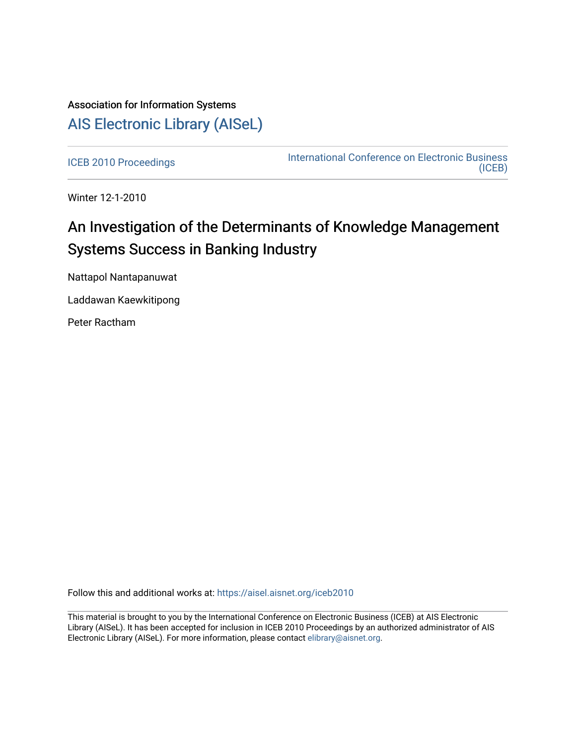# Association for Information Systems [AIS Electronic Library \(AISeL\)](https://aisel.aisnet.org/)

[ICEB 2010 Proceedings](https://aisel.aisnet.org/iceb2010) **International Conference on Electronic Business** [\(ICEB\)](https://aisel.aisnet.org/iceb) 

Winter 12-1-2010

# An Investigation of the Determinants of Knowledge Management Systems Success in Banking Industry

Nattapol Nantapanuwat

Laddawan Kaewkitipong

Peter Ractham

Follow this and additional works at: [https://aisel.aisnet.org/iceb2010](https://aisel.aisnet.org/iceb2010?utm_source=aisel.aisnet.org%2Ficeb2010%2F20&utm_medium=PDF&utm_campaign=PDFCoverPages)

This material is brought to you by the International Conference on Electronic Business (ICEB) at AIS Electronic Library (AISeL). It has been accepted for inclusion in ICEB 2010 Proceedings by an authorized administrator of AIS Electronic Library (AISeL). For more information, please contact [elibrary@aisnet.org.](mailto:elibrary@aisnet.org%3E)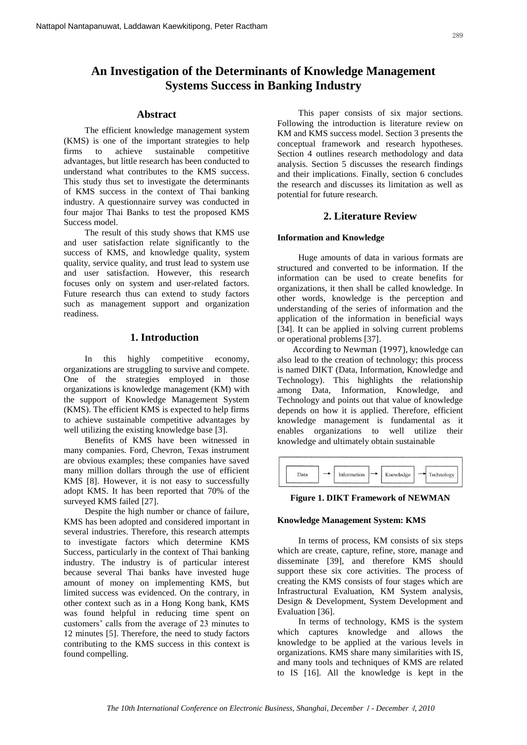# **An Investigation of the Determinants of Knowledge Management Systems Success in Banking Industry**

# **Abstract**

The efficient knowledge management system (KMS) is one of the important strategies to help firms to achieve sustainable competitive advantages, but little research has been conducted to understand what contributes to the KMS success. This study thus set to investigate the determinants of KMS success in the context of Thai banking industry. A questionnaire survey was conducted in four major Thai Banks to test the proposed KMS Success model.

The result of this study shows that KMS use and user satisfaction relate significantly to the success of KMS, and knowledge quality, system quality, service quality, and trust lead to system use and user satisfaction. However, this research focuses only on system and user-related factors. Future research thus can extend to study factors such as management support and organization readiness.

# **1. Introduction**

In this highly competitive economy, organizations are struggling to survive and compete. One of the strategies employed in those organizations is knowledge management (KM) with the support of Knowledge Management System (KMS). The efficient KMS is expected to help firms to achieve sustainable competitive advantages by well utilizing the existing knowledge base [3].

Benefits of KMS have been witnessed in many companies. Ford, Chevron, Texas instrument are obvious examples; these companies have saved many million dollars through the use of efficient KMS [8]. However, it is not easy to successfully adopt KMS. It has been reported that 70% of the surveyed KMS failed [27].

Despite the high number or chance of failure, KMS has been adopted and considered important in several industries. Therefore, this research attempts to investigate factors which determine KMS Success, particularly in the context of Thai banking industry. The industry is of particular interest because several Thai banks have invested huge amount of money on implementing KMS, but limited success was evidenced. On the contrary, in other context such as in a Hong Kong bank, KMS was found helpful in reducing time spent on customers' calls from the average of 23 minutes to 12 minutes [5]. Therefore, the need to study factors contributing to the KMS success in this context is found compelling.

This paper consists of six major sections. Following the introduction is literature review on KM and KMS success model. Section 3 presents the conceptual framework and research hypotheses. Section 4 outlines research methodology and data analysis. Section 5 discusses the research findings and their implications. Finally, section 6 concludes the research and discusses its limitation as well as potential for future research.

# **2. Literature Review**

## **Information and Knowledge**

Huge amounts of data in various formats are structured and converted to be information. If the information can be used to create benefits for organizations, it then shall be called knowledge. In other words, knowledge is the perception and understanding of the series of information and the application of the information in beneficial ways [34]. It can be applied in solving current problems or operational problems [37].

According to Newman (1997), knowledge can also lead to the creation of technology; this process is named DIKT (Data, Information, Knowledge and Technology). This highlights the relationship among Data, Information, Knowledge, and Technology and points out that value of knowledge depends on how it is applied. Therefore, efficient knowledge management is fundamental as it enables organizations to well utilize their knowledge and ultimately obtain sustainable

| <b>Data</b> | Information | Knowledge | Technology |
|-------------|-------------|-----------|------------|

#### **Figure 1. DIKT Framework of NEWMAN**

# **Knowledge Management System: KMS**

In terms of process, KM consists of six steps which are create, capture, refine, store, manage and disseminate [39], and therefore KMS should support these six core activities. The process of creating the KMS consists of four stages which are Infrastructural Evaluation, KM System analysis, Design & Development, System Development and Evaluation [36].

In terms of technology, KMS is the system which captures knowledge and allows the knowledge to be applied at the various levels in organizations. KMS share many similarities with IS, and many tools and techniques of KMS are related to IS [16]. All the knowledge is kept in the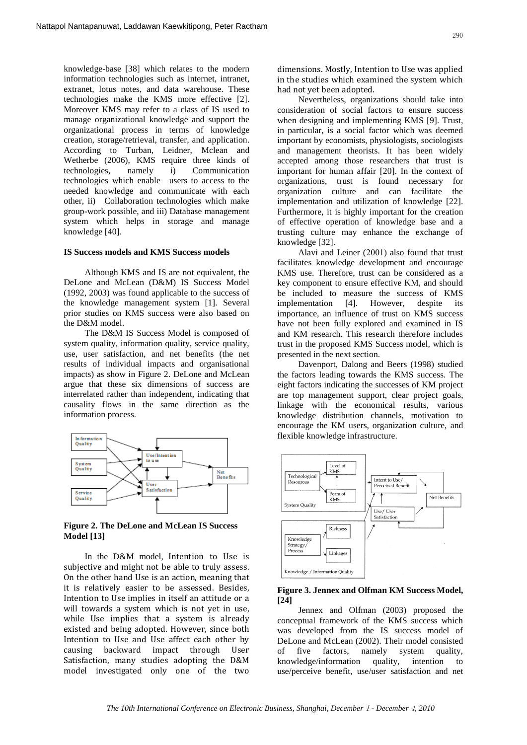knowledge-base [38] which relates to the modern information technologies such as internet, intranet, extranet, lotus notes, and data warehouse. These technologies make the KMS more effective [2]. Moreover KMS may refer to a class of IS used to manage organizational knowledge and support the organizational process in terms of knowledge creation, storage/retrieval, transfer, and application. According to Turban, Leidner, Mclean and Wetherbe (2006), KMS require three kinds of technologies, namely i) Communication technologies which enable users to access to the needed knowledge and communicate with each other, ii) Collaboration technologies which make group-work possible, and iii) Database management system which helps in storage and manage knowledge [40].

#### **IS Success models and KMS Success models**

Although KMS and IS are not equivalent, the DeLone and McLean (D&M) IS Success Model (1992, 2003) was found applicable to the success of the knowledge management system [1]. Several prior studies on KMS success were also based on the D&M model.

The D&M IS Success Model is composed of system quality, information quality, service quality, use, user satisfaction, and net benefits (the net results of individual impacts and organisational impacts) as show in Figure 2. DeLone and McLean argue that these six dimensions of success are interrelated rather than independent, indicating that causality flows in the same direction as the information process.



**Figure 2. The DeLone and McLean IS Success Model [13]**

In the D&M model, Intention to Use is subjective and might not be able to truly assess. On the other hand Use is an action, meaning that it is relatively easier to be assessed. Besides, Intention to Use implies in itself an attitude or a will towards a system which is not yet in use, while Use implies that a system is already existed and being adopted. However, since both Intention to Use and Use affect each other by causing backward impact through User Satisfaction, many studies adopting the D&M model investigated only one of the two

dimensions. Mostly, Intention to Use was applied in the studies which examined the system which had not yet been adopted.

Nevertheless, organizations should take into consideration of social factors to ensure success when designing and implementing KMS [9]. Trust, in particular, is a social factor which was deemed important by economists, physiologists, sociologists and management theorists. It has been widely accepted among those researchers that trust is important for human affair [20]. In the context of organizations, trust is found necessary for organization culture and can facilitate the implementation and utilization of knowledge [22]. Furthermore, it is highly important for the creation of effective operation of knowledge base and a trusting culture may enhance the exchange of knowledge [32].

Alavi and Leiner (2001) also found that trust facilitates knowledge development and encourage KMS use. Therefore, trust can be considered as a key component to ensure effective KM, and should be included to measure the success of KMS implementation [4]. However, despite its importance, an influence of trust on KMS success have not been fully explored and examined in IS and KM research. This research therefore includes trust in the proposed KMS Success model, which is presented in the next section.

Davenport, Dalong and Beers (1998) studied the factors leading towards the KMS success. The eight factors indicating the successes of KM project are top management support, clear project goals, linkage with the economical results, various knowledge distribution channels, motivation to encourage the KM users, organization culture, and flexible knowledge infrastructure.



#### **Figure 3. Jennex and Olfman KM Success Model, [24]**

Jennex and Olfman (2003) proposed the conceptual framework of the KMS success which was developed from the IS success model of DeLone and McLean (2002). Their model consisted of five factors, namely system quality, knowledge/information quality, intention to use/perceive benefit, use/user satisfaction and net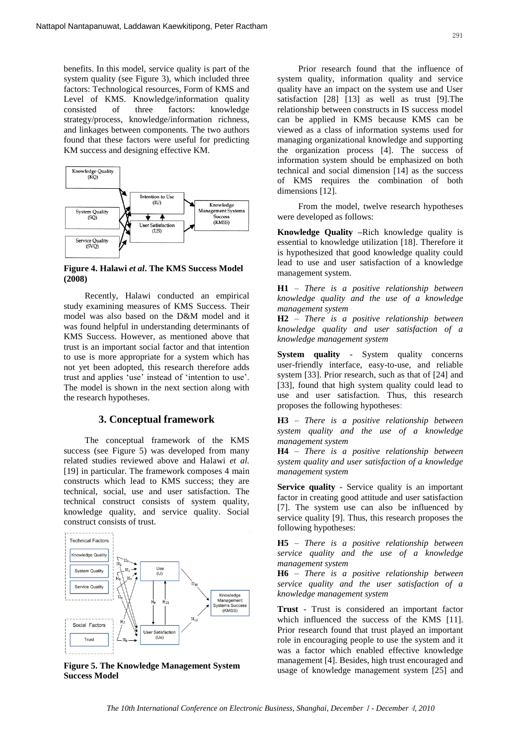benefits. In this model, service quality is part of the system quality (see Figure 3), which included three factors: Technological resources, Form of KMS and Level of KMS. Knowledge/information quality consisted of three factors: knowledge strategy/process, knowledge/information richness, and linkages between components. The two authors found that these factors were useful for predicting KM success and designing effective KM.



**Figure 4. Halawi** *et al***. The KMS Success Model (2008)**

Recently, Halawi conducted an empirical study examining measures of KMS Success. Their model was also based on the D&M model and it was found helpful in understanding determinants of KMS Success. However, as mentioned above that trust is an important social factor and that intention to use is more appropriate for a system which has not yet been adopted, this research therefore adds trust and applies 'use' instead of 'intention to use'. The model is shown in the next section along with the research hypotheses.

#### **3. Conceptual framework**

The conceptual framework of the KMS success (see Figure 5) was developed from many related studies reviewed above and Halawi *et al.* [19] in particular. The framework composes 4 main constructs which lead to KMS success; they are technical, social, use and user satisfaction. The technical construct consists of system quality, knowledge quality, and service quality. Social construct consists of trust.



**Figure 5. The Knowledge Management System Success Model**

Prior research found that the influence of system quality, information quality and service quality have an impact on the system use and User satisfaction [28] [13] as well as trust [9].The relationship between constructs in IS success model can be applied in KMS because KMS can be viewed as a class of information systems used for managing organizational knowledge and supporting the organization process [4]. The success of information system should be emphasized on both technical and social dimension [14] as the success of KMS requires the combination of both dimensions [12].

From the model, twelve research hypotheses were developed as follows:

**Knowledge Quality –**Rich knowledge quality is essential to knowledge utilization [18]. Therefore it is hypothesized that good knowledge quality could lead to use and user satisfaction of a knowledge management system.

**H1** – *There is a positive relationship between knowledge quality and the use of a knowledge management system* 

**H2** – *There is a positive relationship between knowledge quality and user satisfaction of a knowledge management system*

**System quality** *-* System quality concerns user-friendly interface, easy-to-use, and reliable system [33]. Prior research, such as that of [24] and [33], found that high system quality could lead to use and user satisfaction. Thus, this research proposes the following hypotheses:

**H3** – *There is a positive relationship between system quality and the use of a knowledge management system* 

**H4** – *There is a positive relationship between system quality and user satisfaction of a knowledge management system*

**Service quality** - Service quality is an important factor in creating good attitude and user satisfaction [7]. The system use can also be influenced by service quality [9]. Thus, this research proposes the following hypotheses:

**H5** – *There is a positive relationship between service quality and the use of a knowledge management system* 

**H6** – *There is a positive relationship between service quality and the user satisfaction of a knowledge management system*

**Trust** - Trust is considered an important factor which influenced the success of the KMS [11]. Prior research found that trust played an important role in encouraging people to use the system and it was a factor which enabled effective knowledge management [4]. Besides, high trust encouraged and usage of knowledge management system [25] and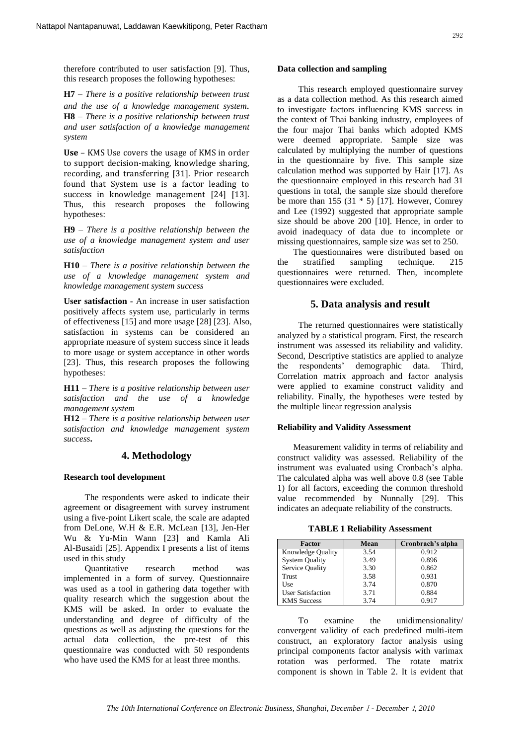therefore contributed to user satisfaction [9]. Thus, this research proposes the following hypotheses:

**H7** – *There is a positive relationship between trust and the use of a knowledge management system.* **H8** – *There is a positive relationship between trust and user satisfaction of a knowledge management system*

**Use** – KMS Use covers the usage of KMS in order to support decision-making, knowledge sharing, recording, and transferring [31]. Prior research found that System use is a factor leading to success in knowledge management [24] [13]. Thus, this research proposes the following hypotheses:

**H9** – *There is a positive relationship between the use of a knowledge management system and user satisfaction*

**H10** – *There is a positive relationship between the use of a knowledge management system and knowledge management system success* 

**User satisfaction** - An increase in user satisfaction positively affects system use, particularly in terms of effectiveness [15] and more usage [28] [23]. Also, satisfaction in systems can be considered an appropriate measure of system success since it leads to more usage or system acceptance in other words [23]. Thus, this research proposes the following hypotheses:

**H11** – *There is a positive relationship between user satisfaction and the use of a knowledge management system* 

**H12** – *There is a positive relationship between user satisfaction and knowledge management system success***.**

# **4. Methodology**

#### **Research tool development**

The respondents were asked to indicate their agreement or disagreement with survey instrument using a five-point Likert scale, the scale are adapted from DeLone, W.H & E.R. McLean [13], Jen-Her Wu & Yu-Min Wann [23] and Kamla Ali Al-Busaidi [25]. Appendix I presents a list of items used in this study

Quantitative research method implemented in a form of survey. Questionnaire was used as a tool in gathering data together with quality research which the suggestion about the KMS will be asked. In order to evaluate the understanding and degree of difficulty of the questions as well as adjusting the questions for the actual data collection, the pre-test of this questionnaire was conducted with 50 respondents who have used the KMS for at least three months.

#### **Data collection and sampling**

This research employed questionnaire survey as a data collection method. As this research aimed to investigate factors influencing KMS success in the context of Thai banking industry, employees of the four major Thai banks which adopted KMS were deemed appropriate. Sample size was calculated by multiplying the number of questions in the questionnaire by five. This sample size calculation method was supported by Hair [17]. As the questionnaire employed in this research had 31 questions in total, the sample size should therefore be more than 155  $(31 * 5)$  [17]. However, Comrey and Lee (1992) suggested that appropriate sample size should be above 200 [10]. Hence, in order to avoid inadequacy of data due to incomplete or missing questionnaires, sample size was set to 250.

The questionnaires were distributed based on the stratified sampling technique. 215 questionnaires were returned. Then, incomplete questionnaires were excluded.

## **5. Data analysis and result**

The returned questionnaires were statistically analyzed by a statistical program. First, the research instrument was assessed its reliability and validity. Second, Descriptive statistics are applied to analyze the respondents' demographic data. Third, Correlation matrix approach and factor analysis were applied to examine construct validity and reliability. Finally, the hypotheses were tested by the multiple linear regression analysis

#### **Reliability and Validity Assessment**

Measurement validity in terms of reliability and construct validity was assessed. Reliability of the instrument was evaluated using Cronbach's alpha. The calculated alpha was well above 0.8 (see Table 1) for all factors, exceeding the common threshold value recommended by Nunnally [29]. This indicates an adequate reliability of the constructs.

**TABLE 1 Reliability Assessment**

| Factor                   | <b>Mean</b> | Cronbrach's alpha |
|--------------------------|-------------|-------------------|
| <b>Knowledge Quality</b> | 3.54        | 0.912             |
| <b>System Quality</b>    | 3.49        | 0.896             |
| Service Quality          | 3.30        | 0.862             |
| Trust                    | 3.58        | 0.931             |
| Use                      | 3.74        | 0.870             |
| <b>User Satisfaction</b> | 3.71        | 0.884             |
| <b>KMS</b> Success       | 3.74        | 0.917             |

To examine the unidimensionality/ convergent validity of each predefined multi-item construct, an exploratory factor analysis using principal components factor analysis with varimax rotation was performed. The rotate matrix component is shown in Table 2. It is evident that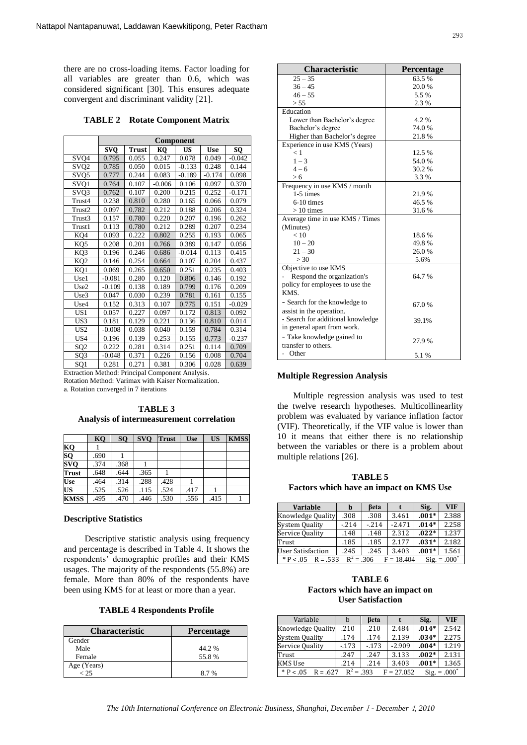there are no cross-loading items. Factor loading for all variables are greater than 0.6, which was considered significant [30]. This ensures adequate convergent and discriminant validity [21].

**TABLE 2 Rotate Component Matrix**

|                           | Component  |              |          |           |            |          |  |  |
|---------------------------|------------|--------------|----------|-----------|------------|----------|--|--|
|                           | <b>SVQ</b> | <b>Trust</b> | KQ       | <b>US</b> | <b>Use</b> | sQ       |  |  |
| SVQ4                      | 0.795      | 0.055        | 0.247    | 0.078     | 0.049      | $-0.042$ |  |  |
| SVQ <sub>2</sub>          | 0.785      | 0.050        | 0.015    | $-0.133$  | 0.248      | 0.144    |  |  |
| SVQ5                      | 0.777      | 0.244        | 0.083    | $-0.189$  | $-0.174$   | 0.098    |  |  |
| SVQ1                      | 0.764      | 0.107        | $-0.006$ | 0.106     | 0.097      | 0.370    |  |  |
| $\overline{\text{SV}}$ Q3 | 0.762      | 0.107        | 0.200    | 0.215     | 0.252      | $-0.171$ |  |  |
| Trust4                    | 0.238      | 0.810        | 0.280    | 0.165     | 0.066      | 0.079    |  |  |
| Trust2                    | 0.097      | 0.782        | 0.212    | 0.188     | 0.206      | 0.324    |  |  |
| Trust3                    | 0.157      | 0.780        | 0.220    | 0.207     | 0.196      | 0.262    |  |  |
| Trust1                    | 0.113      | 0.780        | 0.212    | 0.289     | 0.207      | 0.234    |  |  |
| KQ4                       | 0.093      | 0.222        | 0.802    | 0.255     | 0.193      | 0.065    |  |  |
| KO <sub>5</sub>           | 0.208      | 0.201        | 0.766    | 0.389     | 0.147      | 0.056    |  |  |
| KQ3                       | 0.196      | 0.246        | 0.686    | $-0.014$  | 0.113      | 0.415    |  |  |
| KQ <sub>2</sub>           | 0.146      | 0.254        | 0.664    | 0.107     | 0.204      | 0.437    |  |  |
| KQ1                       | 0.069      | 0.265        | 0.650    | 0.251     | 0.235      | 0.403    |  |  |
| Use1                      | $-0.081$   | 0.280        | 0.120    | 0.806     | 0.146      | 0.192    |  |  |
| Use2                      | $-0.109$   | 0.138        | 0.189    | 0.799     | 0.176      | 0.209    |  |  |
| Use3                      | 0.047      | 0.030        | 0.239    | 0.781     | 0.161      | 0.155    |  |  |
| Use4                      | 0.152      | 0.313        | 0.107    | 0.775     | 0.151      | $-0.029$ |  |  |
| US1                       | 0.057      | 0.227        | 0.097    | 0.172     | 0.813      | 0.092    |  |  |
| US3                       | 0.181      | 0.129        | 0.221    | 0.136     | 0.810      | 0.014    |  |  |
| US <sub>2</sub>           | $-0.008$   | 0.038        | 0.040    | 0.159     | 0.784      | 0.314    |  |  |
| US <sub>4</sub>           | 0.196      | 0.139        | 0.253    | 0.155     | 0.773      | $-0.237$ |  |  |
| SQ <sub>2</sub>           | 0.222      | 0.281        | 0.314    | 0.251     | 0.114      | 0.709    |  |  |
| SQ3                       | $-0.048$   | 0.371        | 0.226    | 0.156     | 0.008      | 0.704    |  |  |
| SQ1                       | 0.281      | 0.271        | 0.381    | 0.306     | 0.028      | 0.639    |  |  |

Extraction Method: Principal Component Analysis. Rotation Method: Varimax with Kaiser Normalization. a. Rotation converged in 7 iterations

**TABLE 3 Analysis of intermeasurement correlation**

|                         | KO   | SO <sub>1</sub> | <b>SVO</b> | <b>Trust</b> | <b>Use</b> | <b>US</b> | <b>KMSS</b> |
|-------------------------|------|-----------------|------------|--------------|------------|-----------|-------------|
| KQ                      |      |                 |            |              |            |           |             |
| $\overline{SQ}$         | .690 |                 |            |              |            |           |             |
| $\overline{\text{SVO}}$ | .374 | .368            |            |              |            |           |             |
| <b>Trust</b>            | .648 | .644            | .365       |              |            |           |             |
| <b>Use</b>              | .464 | .314            | .288       | .428         |            |           |             |
| US                      | .525 | .526            | .115       | .524         | .417       |           |             |
| <b>KMSS</b>             | .495 | .470            | .446       | .530         | .556       | .415      |             |

#### **Descriptive Statistics**

Descriptive statistic analysis using frequency and percentage is described in Table 4. It shows the respondents' demographic profiles and their KMS usages. The majority of the respondents (55.8%) are female. More than 80% of the respondents have been using KMS for at least or more than a year.

|  |  |  | <b>TABLE 4 Respondents Profile</b> |  |
|--|--|--|------------------------------------|--|
|--|--|--|------------------------------------|--|

| <b>Characteristic</b> | Percentage |
|-----------------------|------------|
| Gender                |            |
| Male                  | 44.2 %     |
| Female                | 55.8%      |
| Age (Years)           |            |
| $<$ 25                | 8.7%       |

| <b>Characteristic</b>             | <b>Percentage</b> |
|-----------------------------------|-------------------|
| $25 - 35$                         | 63.5%             |
| $36 - 45$                         | 20.0%             |
| $46 - 55$                         | 5.5 %             |
| > 55                              | 2.3 %             |
| Education                         |                   |
| Lower than Bachelor's degree      | 4.2%              |
| Bachelor's degree                 | 74.0%             |
| Higher than Bachelor's degree     | 21.8%             |
| Experience in use KMS (Years)     |                   |
| < 1                               | 12.5 %            |
| $1 - 3$                           | 54.0%             |
| $4 - 6$                           | 30.2 %            |
| > 6                               | 3.3 %             |
| Frequency in use KMS / month      |                   |
| 1-5 times                         | 21.9%             |
| $6-10$ times                      | 46.5%             |
| $>10$ times                       | 31.6%             |
| Average time in use KMS / Times   |                   |
| (Minutes)                         |                   |
| < 10                              | 18.6%             |
| $10 - 20$                         | 49.8%             |
| $21 - 30$                         | 26.0%             |
| > 30                              | 5.6%              |
| Objective to use KMS              |                   |
| Respond the organization's        | 64.7%             |
| policy for employees to use the   |                   |
| KMS.                              |                   |
| - Search for the knowledge to     | 67.0%             |
| assist in the operation.          |                   |
| - Search for additional knowledge | 39.1%             |
| in general apart from work.       |                   |
| - Take knowledge gained to        |                   |
| transfer to others.               | 27.9%             |
| - Other                           | 5.1 %             |

#### **Multiple Regression Analysis**

Multiple regression analysis was used to test the twelve research hypotheses. Multicollinearlity problem was evaluated by variance inflation factor (VIF). Theoretically, if the VIF value is lower than 10 it means that either there is no relationship between the variables or there is a problem about multiple relations [26].

**TABLE 5 Factors which have an impact on KMS Use**

| <b>Variable</b>                                                                          | b      | Beta   |          | Sig.    | <b>VIF</b> |  |  |
|------------------------------------------------------------------------------------------|--------|--------|----------|---------|------------|--|--|
| Knowledge Quality                                                                        | .308   | .308   | 3.461    | $.001*$ | 2.388      |  |  |
| <b>System Quality</b>                                                                    | $-214$ | $-214$ | $-2.471$ | $.014*$ | 2.258      |  |  |
| Service Quality                                                                          | .148   | .148   | 2.312    | $.022*$ | 1.237      |  |  |
| Trust                                                                                    | .185   | .185   | 2.177    | $.031*$ | 2.182      |  |  |
| <b>User Satisfaction</b>                                                                 | .245   | .245   | 3.403    | $.001*$ | 1.561      |  |  |
| $R^2 = .306$<br>$*P < 0.5$<br>$\text{Sig.} = .000^{\circ}$<br>$R = .533$<br>$F = 18.404$ |        |        |          |         |            |  |  |

**TABLE 6 Factors which have an impact on User Satisfaction**

| Variable                                                                          | h      | <b>Beta</b> |          | Sig.    | <b>VIF</b> |  |
|-----------------------------------------------------------------------------------|--------|-------------|----------|---------|------------|--|
| Knowledge Quality                                                                 | .210   | .210        | 2.484    | $.014*$ | 2.542      |  |
| <b>System Quality</b>                                                             | .174   | .174        | 2.139    | $.034*$ | 2.275      |  |
| Service Quality                                                                   | $-173$ | $-173$      | $-2.909$ | $.004*$ | 1.219      |  |
| Trust                                                                             | .247   | .247        | 3.133    | $.002*$ | 2.131      |  |
| KMS Use                                                                           | .214   | .214        | 3.403    | $.001*$ | 1.365      |  |
| $R^2 = .393$<br>$*$ P < .05<br>$\text{Sig.} = .000$<br>$R = .627$<br>$F = 27.052$ |        |             |          |         |            |  |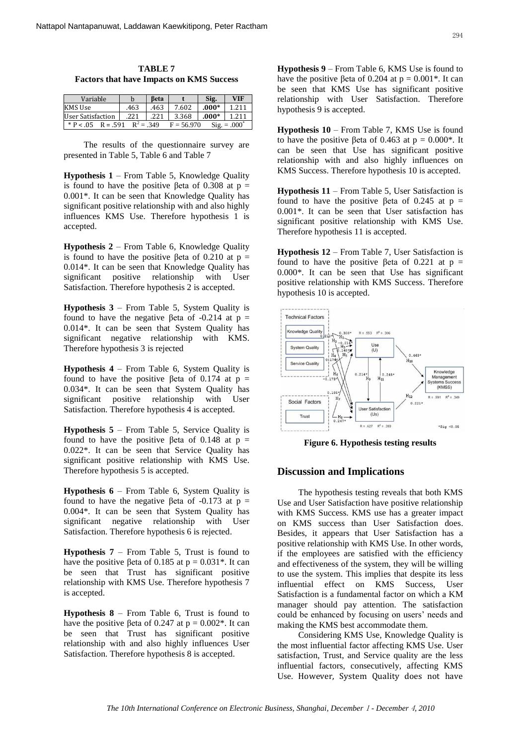**TABLE 7 Factors that have Impacts on KMS Success**

| Variable            |             | Beta |              | Sig.    | VIF                        |
|---------------------|-------------|------|--------------|---------|----------------------------|
| <b>KMS Use</b>      | .463        | .463 | 7.602        | $.000*$ | 1.211                      |
| User Satisfaction   | .221        | .221 | 3.368        | $.000*$ | 1.211                      |
| $*P < .05$ R = .591 | $R^2 = 349$ |      | $F = 56.970$ |         | $\text{Sig.} = .000^\circ$ |

The results of the questionnaire survey are presented in Table 5, Table 6 and Table 7

**Hypothesis 1** – From Table 5, Knowledge Quality is found to have the positive βeta of 0.308 at  $p =$ 0.001\*. It can be seen that Knowledge Quality has significant positive relationship with and also highly influences KMS Use. Therefore hypothesis 1 is accepted.

**Hypothesis 2** – From Table 6, Knowledge Quality is found to have the positive βeta of 0.210 at  $p =$ 0.014\*. It can be seen that Knowledge Quality has significant positive relationship with User Satisfaction. Therefore hypothesis 2 is accepted.

**Hypothesis 3** – From Table 5, System Quality is found to have the negative βeta of  $-0.214$  at  $p =$ 0.014\*. It can be seen that System Quality has significant negative relationship with KMS. Therefore hypothesis 3 is rejected

**Hypothesis 4** – From Table 6, System Quality is found to have the positive βeta of 0.174 at p = 0.034\*. It can be seen that System Quality has significant positive relationship with User Satisfaction. Therefore hypothesis 4 is accepted.

**Hypothesis 5** – From Table 5, Service Quality is found to have the positive βeta of 0.148 at  $p =$ 0.022\*. It can be seen that Service Quality has significant positive relationship with KMS Use. Therefore hypothesis 5 is accepted.

**Hypothesis 6** – From Table 6, System Quality is found to have the negative βeta of  $-0.173$  at  $p =$ 0.004\*. It can be seen that System Quality has significant negative relationship with User Satisfaction. Therefore hypothesis 6 is rejected.

**Hypothesis 7** – From Table 5, Trust is found to have the positive βeta of 0.185 at  $p = 0.031$ <sup>\*</sup>. It can be seen that Trust has significant positive relationship with KMS Use. Therefore hypothesis 7 is accepted.

**Hypothesis 8** – From Table 6, Trust is found to have the positive βeta of 0.247 at  $p = 0.002$ <sup>\*</sup>. It can be seen that Trust has significant positive relationship with and also highly influences User Satisfaction. Therefore hypothesis 8 is accepted.

**Hypothesis 9** – From Table 6, KMS Use is found to have the positive βeta of 0.204 at  $p = 0.001$ <sup>\*</sup>. It can be seen that KMS Use has significant positive relationship with User Satisfaction. Therefore hypothesis 9 is accepted.

**Hypothesis 10** – From Table 7, KMS Use is found to have the positive βeta of 0.463 at  $p = 0.000$ <sup>\*</sup>. It can be seen that Use has significant positive relationship with and also highly influences on KMS Success. Therefore hypothesis 10 is accepted.

**Hypothesis 11** – From Table 5, User Satisfaction is found to have the positive βeta of 0.245 at  $p =$ 0.001\*. It can be seen that User satisfaction has significant positive relationship with KMS Use. Therefore hypothesis 11 is accepted.

**Hypothesis 12** – From Table 7, User Satisfaction is found to have the positive βeta of 0.221 at p = 0.000\*. It can be seen that Use has significant positive relationship with KMS Success. Therefore hypothesis 10 is accepted.



**Figure 6. Hypothesis testing results**

# **Discussion and Implications**

The hypothesis testing reveals that both KMS Use and User Satisfaction have positive relationship with KMS Success. KMS use has a greater impact on KMS success than User Satisfaction does. Besides, it appears that User Satisfaction has a positive relationship with KMS Use. In other words, if the employees are satisfied with the efficiency and effectiveness of the system, they will be willing to use the system. This implies that despite its less influential effect on KMS Success, User Satisfaction is a fundamental factor on which a KM manager should pay attention. The satisfaction could be enhanced by focusing on users' needs and making the KMS best accommodate them.

Considering KMS Use, Knowledge Quality is the most influential factor affecting KMS Use. User satisfaction, Trust, and Service quality are the less influential factors, consecutively, affecting KMS Use. However, System Quality does not have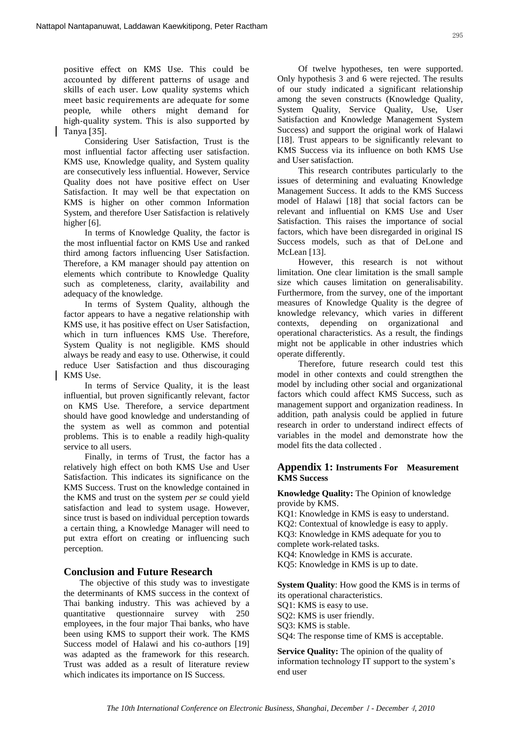positive effect on KMS Use. This could be accounted by different patterns of usage and skills of each user. Low quality systems which meet basic requirements are adequate for some people, while others might demand for high-quality system. This is also supported by Tanya [35].

Considering User Satisfaction, Trust is the most influential factor affecting user satisfaction. KMS use, Knowledge quality, and System quality are consecutively less influential. However, Service Quality does not have positive effect on User Satisfaction. It may well be that expectation on KMS is higher on other common Information System, and therefore User Satisfaction is relatively higher [6].

In terms of Knowledge Quality, the factor is the most influential factor on KMS Use and ranked third among factors influencing User Satisfaction. Therefore, a KM manager should pay attention on elements which contribute to Knowledge Quality such as completeness, clarity, availability and adequacy of the knowledge.

In terms of System Quality, although the factor appears to have a negative relationship with KMS use, it has positive effect on User Satisfaction, which in turn influences KMS Use. Therefore, System Quality is not negligible. KMS should always be ready and easy to use. Otherwise, it could reduce User Satisfaction and thus discouraging KMS Use.

In terms of Service Quality, it is the least influential, but proven significantly relevant, factor on KMS Use. Therefore, a service department should have good knowledge and understanding of the system as well as common and potential problems. This is to enable a readily high-quality service to all users.

Finally, in terms of Trust, the factor has a relatively high effect on both KMS Use and User Satisfaction. This indicates its significance on the KMS Success. Trust on the knowledge contained in the KMS and trust on the system *per se* could yield satisfaction and lead to system usage. However, since trust is based on individual perception towards a certain thing, a Knowledge Manager will need to put extra effort on creating or influencing such perception.

#### **Conclusion and Future Research**

The objective of this study was to investigate the determinants of KMS success in the context of Thai banking industry. This was achieved by a quantitative questionnaire survey with 250 employees, in the four major Thai banks, who have been using KMS to support their work. The KMS Success model of Halawi and his co-authors [19] was adapted as the framework for this research. Trust was added as a result of literature review which indicates its importance on IS Success.

Of twelve hypotheses, ten were supported. Only hypothesis 3 and 6 were rejected. The results of our study indicated a significant relationship among the seven constructs (Knowledge Quality, System Quality, Service Quality, Use, User Satisfaction and Knowledge Management System Success) and support the original work of Halawi [18]. Trust appears to be significantly relevant to KMS Success via its influence on both KMS Use and User satisfaction.

This research contributes particularly to the issues of determining and evaluating Knowledge Management Success. It adds to the KMS Success model of Halawi [18] that social factors can be relevant and influential on KMS Use and User Satisfaction. This raises the importance of social factors, which have been disregarded in original IS Success models, such as that of DeLone and McLean [13].

However, this research is not without limitation. One clear limitation is the small sample size which causes limitation on generalisability. Furthermore, from the survey, one of the important measures of Knowledge Quality is the degree of knowledge relevancy, which varies in different contexts, depending on organizational and operational characteristics. As a result, the findings might not be applicable in other industries which operate differently.

Therefore, future research could test this model in other contexts and could strengthen the model by including other social and organizational factors which could affect KMS Success, such as management support and organization readiness. In addition, path analysis could be applied in future research in order to understand indirect effects of variables in the model and demonstrate how the model fits the data collected .

# **Appendix 1: Instruments For Measurement KMS Success**

**Knowledge Quality:** The Opinion of knowledge provide by KMS.

- KQ1: Knowledge in KMS is easy to understand.
- KQ2: Contextual of knowledge is easy to apply.

KQ3: Knowledge in KMS adequate for you to complete work-related tasks.

KQ4: Knowledge in KMS is accurate.

KQ5: Knowledge in KMS is up to date.

**System Quality**: How good the KMS is in terms of its operational characteristics.

SQ1: KMS is easy to use.

SQ2: KMS is user friendly.

SQ3: KMS is stable.

SQ4: The response time of KMS is acceptable.

**Service Quality:** The opinion of the quality of information technology IT support to the system's end user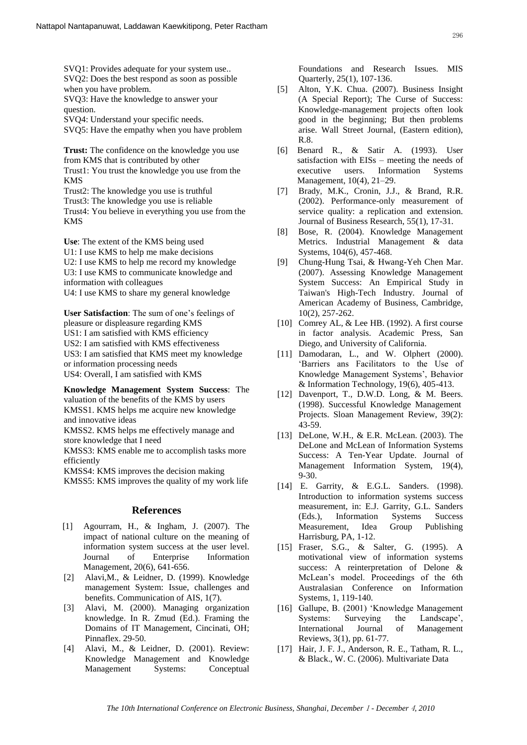SVQ1: Provides adequate for your system use.. SVQ2: Does the best respond as soon as possible when you have problem.

SVQ3: Have the knowledge to answer your question.

SVQ4: Understand your specific needs.

SVQ5: Have the empathy when you have problem

**Trust:** The confidence on the knowledge you use from KMS that is contributed by other Trust1: You trust the knowledge you use from the KMS Trust2: The knowledge you use is truthful

Trust3: The knowledge you use is reliable Trust4: You believe in everything you use from the KMS

**Use**: The extent of the KMS being used U1: I use KMS to help me make decisions U2: I use KMS to help me record my knowledge U3: I use KMS to communicate knowledge and information with colleagues U4: I use KMS to share my general knowledge

**User Satisfaction**: The sum of one's feelings of pleasure or displeasure regarding KMS US1: I am satisfied with KMS efficiency US2: I am satisfied with KMS effectiveness US3: I am satisfied that KMS meet my knowledge or information processing needs US4: Overall, I am satisfied with KMS

**Knowledge Management System Success**: The valuation of the benefits of the KMS by users KMSS1. KMS helps me acquire new knowledge and innovative ideas

KMSS2. KMS helps me effectively manage and store knowledge that I need

KMSS3: KMS enable me to accomplish tasks more efficiently

KMSS4: KMS improves the decision making KMSS5: KMS improves the quality of my work life

# **References**

- [1] Agourram, H., & Ingham, J. (2007). The impact of national culture on the meaning of information system success at the user level. Journal of Enterprise Information Management, 20(6), 641-656.
- [2] Alavi,M., & Leidner, D. (1999). Knowledge management System: Issue, challenges and benefits. Communication of AIS, 1(7).
- [3] Alavi, M. (2000). Managing organization knowledge. In R. Zmud (Ed.). Framing the Domains of IT Management, Cincinati, OH; Pinnaflex. 29-50.
- [4] Alavi, M., & Leidner, D. (2001). Review: Knowledge Management and Knowledge Management Systems: Conceptual

Foundations and Research Issues. MIS Quarterly, 25(1), 107-136.

- [5] [Alton, Y.K. Chua.](javascript:void(0);) (2007). Business Insight (A Special Report); The Curse of Success: Knowledge-management projects often look good in the beginning; But then problems arise[.](http://proquest.umi.com/pqdweb?RQT=318&pmid=7510&TS=1261381391&clientId=12345&VInst=PROD&VName=PQD&VType=PQD) [Wall Street Journal,](http://proquest.umi.com/pqdweb?RQT=318&pmid=7510&TS=1261381391&clientId=12345&VInst=PROD&VName=PQD&VType=PQD) (Eastern edition),  $R^8$
- [6] Benard R., & Satir A. (1993). User satisfaction with EISs – meeting the needs of executive users. Information Systems Management, 10(4), 21–29.
- [7] Brady, M.K., Cronin, J.J., & Brand, R.R. (2002). Performance-only measurement of service quality: a replication and extension. Journal of Business Research, 55(1), 17-31.
- [8] Bose, R. (2004). Knowledge Management Metrics. Industrial Management & data Systems, 104(6), 457-468.
- [9] Chung-Hung Tsai, & Hwang-Yeh Chen Mar. (2007). [Assessing Knowledge Management](http://proquest.umi.com/pqdweb?index=6&did=1185057381&SrchMode=1&sid=1&Fmt=4&VInst=PROD&VType=PQD&RQT=309&VName=PQD&TS=1243698307&clientId=53836)  [System Success:](http://proquest.umi.com/pqdweb?index=6&did=1185057381&SrchMode=1&sid=1&Fmt=4&VInst=PROD&VType=PQD&RQT=309&VName=PQD&TS=1243698307&clientId=53836) An Empirical Study in Taiwan's High-Tech Industry*.* Journal of American Academy of Business, Cambridge, 10(2), 257-262.
- [10] Comrey AL, & Lee HB. (1992). A first course in factor analysis. Academic Press, San Diego, and University of California.
- [11] Damodaran, L., and W. Olphert (2000). 'Barriers ans Facilitators to the Use of Knowledge Management Systems', Behavior & Information Technology, 19(6), 405-413.
- [12] Davenport, T., D.W.D. Long, & M. Beers. (1998). Successful Knowledge Management Projects. Sloan Management Review, 39(2): 43-59.
- [13] DeLone, W.H., & E.R. McLean. (2003). The DeLone and McLean of Information Systems Success: A Ten-Year Update. Journal of Management Information System, 19(4), 9-30.
- [14] E. Garrity, & E.G.L. Sanders. (1998). Introduction to information systems success measurement, in: E.J. Garrity, G.L. Sanders (Eds.), Information Systems Success Measurement, Idea Group Publishing Harrisburg, PA, 1-12.
- [15] Fraser, S.G., & Salter, G. (1995). A motivational view of information systems success: A reinterpretation of Delone & McLean's model. Proceedings of the 6th Australasian Conference on Information Systems, 1, 119-140.
- [16] Gallupe, B. (2001) 'Knowledge Management Systems: Surveying the Landscape', International Journal of Management Reviews, 3(1), pp. 61-77.
- [17] Hair, J. F. J., Anderson, R. E., Tatham, R. L., & Black., W. C. (2006). Multivariate Data